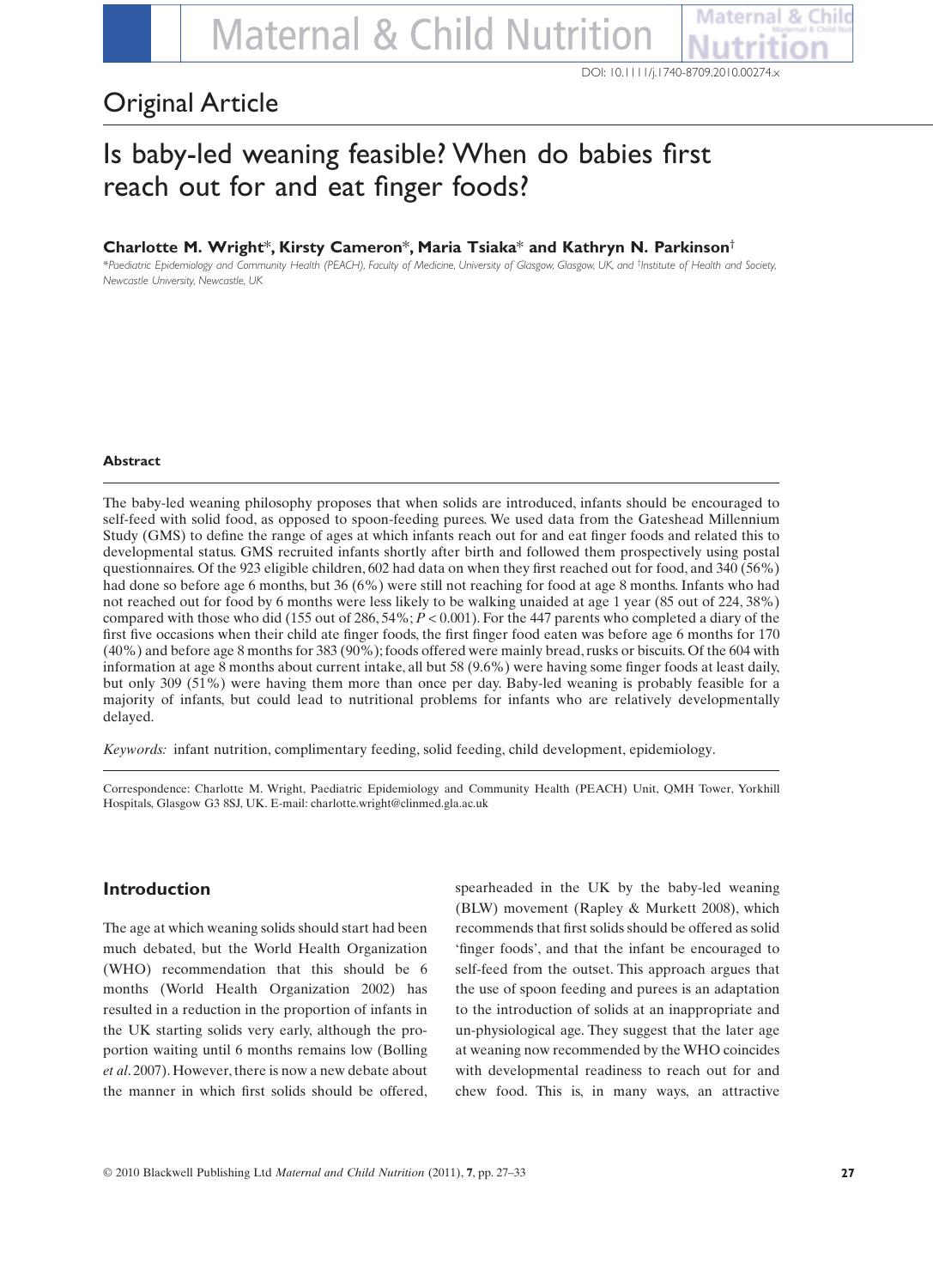DOI: 10.1111/j.1740-8709.2010.0027

## Original Article

# Is baby-led weaning feasible? When do babies first reach out for and eat finger foods?

## **Charlotte M. Wright**\***, Kirsty Cameron**\***, Maria Tsiaka**\* **and Kathryn N. Parkinson**†

\**Paediatric Epidemiology and Community Health (PEACH), Faculty of Medicine, University of Glasgow, Glasgow, UK, and* † *Institute of Health and Society, Newcastle University, Newcastle, UK*

## **Abstract**

The baby-led weaning philosophy proposes that when solids are introduced, infants should be encouraged to self-feed with solid food, as opposed to spoon-feeding purees. We used data from the Gateshead Millennium Study (GMS) to define the range of ages at which infants reach out for and eat finger foods and related this to developmental status. GMS recruited infants shortly after birth and followed them prospectively using postal questionnaires. Of the 923 eligible children, 602 had data on when they first reached out for food, and 340 (56%) had done so before age 6 months, but 36 (6%) were still not reaching for food at age 8 months. Infants who had not reached out for food by 6 months were less likely to be walking unaided at age 1 year (85 out of 224, 38%) compared with those who did (155 out of 286, 54%; *P* < 0.001). For the 447 parents who completed a diary of the first five occasions when their child ate finger foods, the first finger food eaten was before age 6 months for 170 (40%) and before age 8 months for 383 (90%); foods offered were mainly bread, rusks or biscuits. Of the 604 with information at age 8 months about current intake, all but 58 (9.6%) were having some finger foods at least daily, but only 309 (51%) were having them more than once per day. Baby-led weaning is probably feasible for a majority of infants, but could lead to nutritional problems for infants who are relatively developmentally delayed.

*Keywords:* infant nutrition, complimentary feeding, solid feeding, child development, epidemiology.

Correspondence: Charlotte M. Wright, Paediatric Epidemiology and Community Health (PEACH) Unit, QMH Tower, Yorkhill Hospitals, Glasgow G3 8SJ, UK. E-mail: charlotte.wright@clinmed.gla.ac.uk

## **Introduction**

The age at which weaning solids should start had been much debated, but the World Health Organization (WHO) recommendation that this should be 6 months (World Health Organization 2002) has resulted in a reduction in the proportion of infants in the UK starting solids very early, although the proportion waiting until 6 months remains low (Bolling *et al*. 2007). However, there is now a new debate about the manner in which first solids should be offered,

spearheaded in the UK by the baby-led weaning (BLW) movement (Rapley & Murkett 2008), which recommends that first solids should be offered as solid 'finger foods', and that the infant be encouraged to self-feed from the outset. This approach argues that the use of spoon feeding and purees is an adaptation to the introduction of solids at an inappropriate and un-physiological age. They suggest that the later age at weaning now recommended by theWHO coincides with developmental readiness to reach out for and chew food. This is, in many ways, an attractive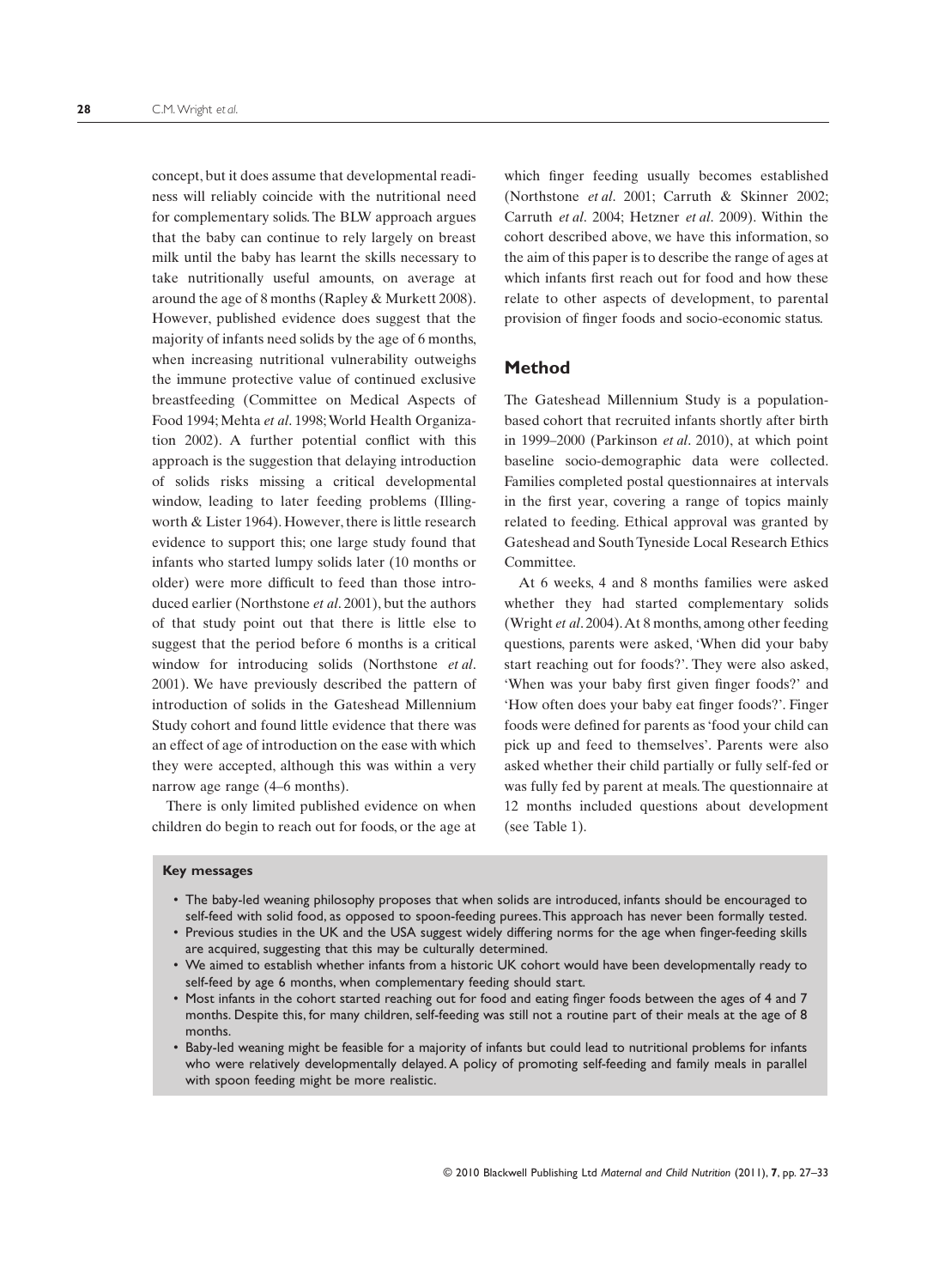concept, but it does assume that developmental readiness will reliably coincide with the nutritional need for complementary solids. The BLW approach argues that the baby can continue to rely largely on breast milk until the baby has learnt the skills necessary to take nutritionally useful amounts, on average at around the age of 8 months (Rapley & Murkett 2008). However, published evidence does suggest that the majority of infants need solids by the age of 6 months, when increasing nutritional vulnerability outweighs the immune protective value of continued exclusive breastfeeding (Committee on Medical Aspects of Food 1994; Mehta *et al*. 1998;World Health Organization 2002). A further potential conflict with this approach is the suggestion that delaying introduction of solids risks missing a critical developmental window, leading to later feeding problems (Illingworth & Lister 1964). However, there is little research evidence to support this; one large study found that infants who started lumpy solids later (10 months or older) were more difficult to feed than those introduced earlier (Northstone *et al*. 2001), but the authors of that study point out that there is little else to suggest that the period before 6 months is a critical window for introducing solids (Northstone *et al*. 2001). We have previously described the pattern of introduction of solids in the Gateshead Millennium Study cohort and found little evidence that there was an effect of age of introduction on the ease with which they were accepted, although this was within a very narrow age range (4–6 months).

There is only limited published evidence on when children do begin to reach out for foods, or the age at which finger feeding usually becomes established (Northstone *et al*. 2001; Carruth & Skinner 2002; Carruth *et al*. 2004; Hetzner *et al*. 2009). Within the cohort described above, we have this information, so the aim of this paper is to describe the range of ages at which infants first reach out for food and how these relate to other aspects of development, to parental provision of finger foods and socio-economic status.

## **Method**

The Gateshead Millennium Study is a populationbased cohort that recruited infants shortly after birth in 1999–2000 (Parkinson *et al*. 2010), at which point baseline socio-demographic data were collected. Families completed postal questionnaires at intervals in the first year, covering a range of topics mainly related to feeding. Ethical approval was granted by Gateshead and South Tyneside Local Research Ethics Committee.

At 6 weeks, 4 and 8 months families were asked whether they had started complementary solids (Wright *et al*. 2004).At 8 months, among other feeding questions, parents were asked, 'When did your baby start reaching out for foods?'. They were also asked, 'When was your baby first given finger foods?' and 'How often does your baby eat finger foods?'. Finger foods were defined for parents as 'food your child can pick up and feed to themselves'. Parents were also asked whether their child partially or fully self-fed or was fully fed by parent at meals. The questionnaire at 12 months included questions about development (see Table 1).

#### **Key messages**

- The baby-led weaning philosophy proposes that when solids are introduced, infants should be encouraged to self-feed with solid food, as opposed to spoon-feeding purees.This approach has never been formally tested.
- Previous studies in the UK and the USA suggest widely differing norms for the age when finger-feeding skills are acquired, suggesting that this may be culturally determined.
- We aimed to establish whether infants from a historic UK cohort would have been developmentally ready to self-feed by age 6 months, when complementary feeding should start.
- Most infants in the cohort started reaching out for food and eating finger foods between the ages of 4 and 7 months. Despite this, for many children, self-feeding was still not a routine part of their meals at the age of 8 months.
- Baby-led weaning might be feasible for a majority of infants but could lead to nutritional problems for infants who were relatively developmentally delayed. A policy of promoting self-feeding and family meals in parallel with spoon feeding might be more realistic.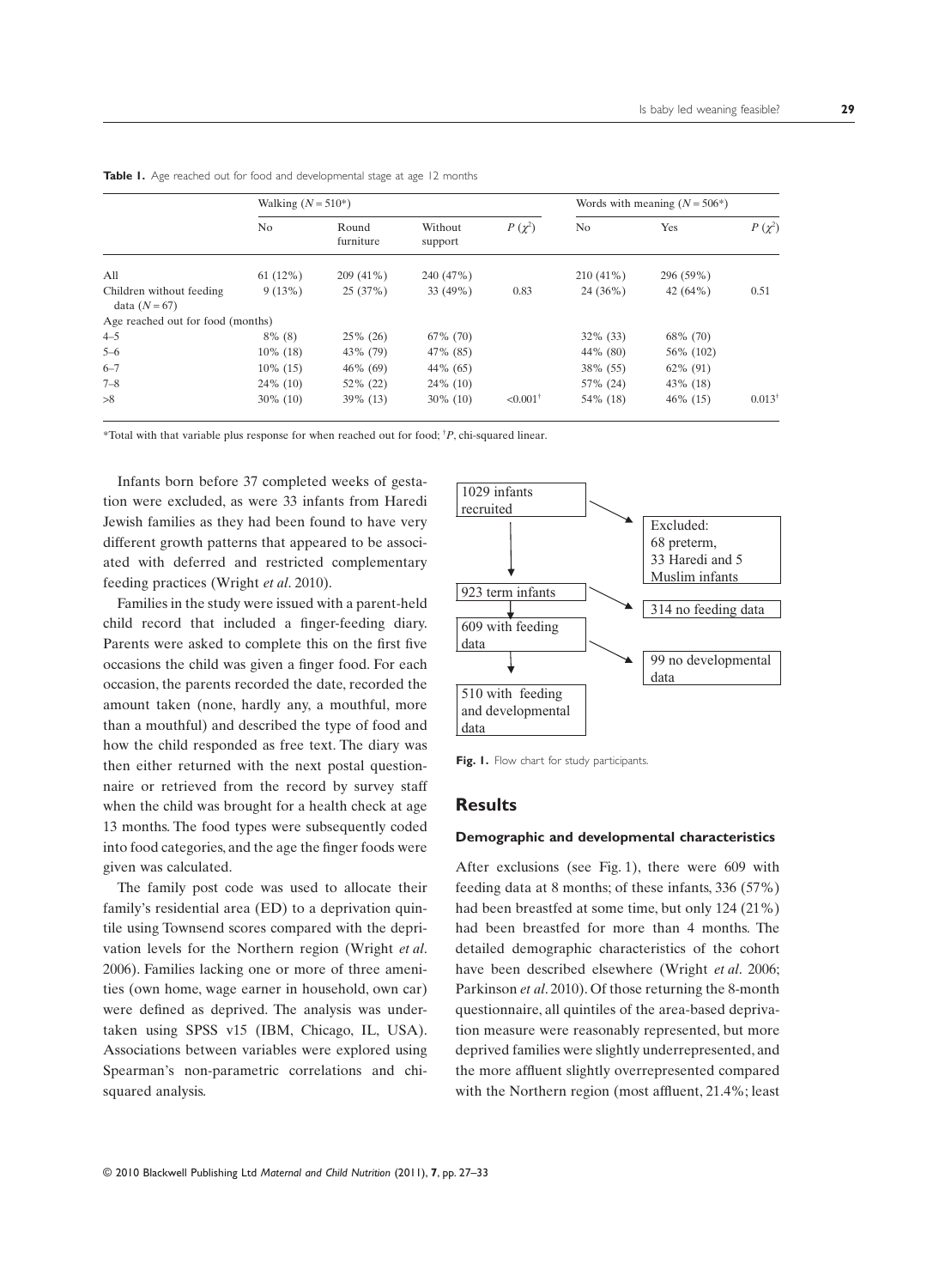|                                             | Walking $(N = 510^*)$ |                    |                    |                        | Words with meaning $(N = 506^*)$ |             |                   |
|---------------------------------------------|-----------------------|--------------------|--------------------|------------------------|----------------------------------|-------------|-------------------|
|                                             | N <sub>0</sub>        | Round<br>furniture | Without<br>support | $P(\chi^2)$            | N <sub>0</sub>                   | Yes         | $P(\chi^2)$       |
| All                                         | $61(12\%)$            | $209(41\%)$        | 240 (47%)          |                        | $210(41\%)$                      | 296 (59%)   |                   |
| Children without feeding<br>data $(N = 67)$ | 9(13%)                | 25(37%)            | 33 (49%)           | 0.83                   | $24(36\%)$                       | 42 $(64\%)$ | 0.51              |
| Age reached out for food (months)           |                       |                    |                    |                        |                                  |             |                   |
| $4 - 5$                                     | $8\%$ (8)             | $25\%$ (26)        | 67% (70)           |                        | $32\%$ (33)                      | 68% (70)    |                   |
| $5 - 6$                                     | $10\%$ (18)           | 43\% (79)          | 47% (85)           |                        | $44\%$ (80)                      | 56% (102)   |                   |
| $6 - 7$                                     | $10\%$ (15)           | $46\%$ (69)        | 44% (65)           |                        | 38% (55)                         | $62\%$ (91) |                   |
| $7 - 8$                                     | $24\%$ (10)           | $52\%$ (22)        | $24\%$ (10)        |                        | 57% (24)                         | $43\%$ (18) |                   |
| >8                                          | $30\%$ (10)           | $39\%$ (13)        | $30\%$ (10)        | $< 0.001$ <sup>+</sup> | 54% (18)                         | $46\%$ (15) | $0.013^{\dagger}$ |

Table I. Age reached out for food and developmental stage at age 12 months

\*Total with that variable plus response for when reached out for food; † *P*, chi-squared linear.

Infants born before 37 completed weeks of gestation were excluded, as were 33 infants from Haredi Jewish families as they had been found to have very different growth patterns that appeared to be associated with deferred and restricted complementary feeding practices (Wright *et al*. 2010).

Families in the study were issued with a parent-held child record that included a finger-feeding diary. Parents were asked to complete this on the first five occasions the child was given a finger food. For each occasion, the parents recorded the date, recorded the amount taken (none, hardly any, a mouthful, more than a mouthful) and described the type of food and how the child responded as free text. The diary was then either returned with the next postal questionnaire or retrieved from the record by survey staff when the child was brought for a health check at age 13 months. The food types were subsequently coded into food categories, and the age the finger foods were given was calculated.

The family post code was used to allocate their family's residential area (ED) to a deprivation quintile using Townsend scores compared with the deprivation levels for the Northern region (Wright *et al*. 2006). Families lacking one or more of three amenities (own home, wage earner in household, own car) were defined as deprived. The analysis was undertaken using SPSS v15 (IBM, Chicago, IL, USA). Associations between variables were explored using Spearman's non-parametric correlations and chisquared analysis.



Fig. 1. Flow chart for study participants.

### **Results**

#### **Demographic and developmental characteristics**

After exclusions (see Fig. 1), there were 609 with feeding data at 8 months; of these infants, 336 (57%) had been breastfed at some time, but only 124 (21%) had been breastfed for more than 4 months. The detailed demographic characteristics of the cohort have been described elsewhere (Wright *et al*. 2006; Parkinson *et al*. 2010). Of those returning the 8-month questionnaire, all quintiles of the area-based deprivation measure were reasonably represented, but more deprived families were slightly underrepresented, and the more affluent slightly overrepresented compared with the Northern region (most affluent, 21.4%; least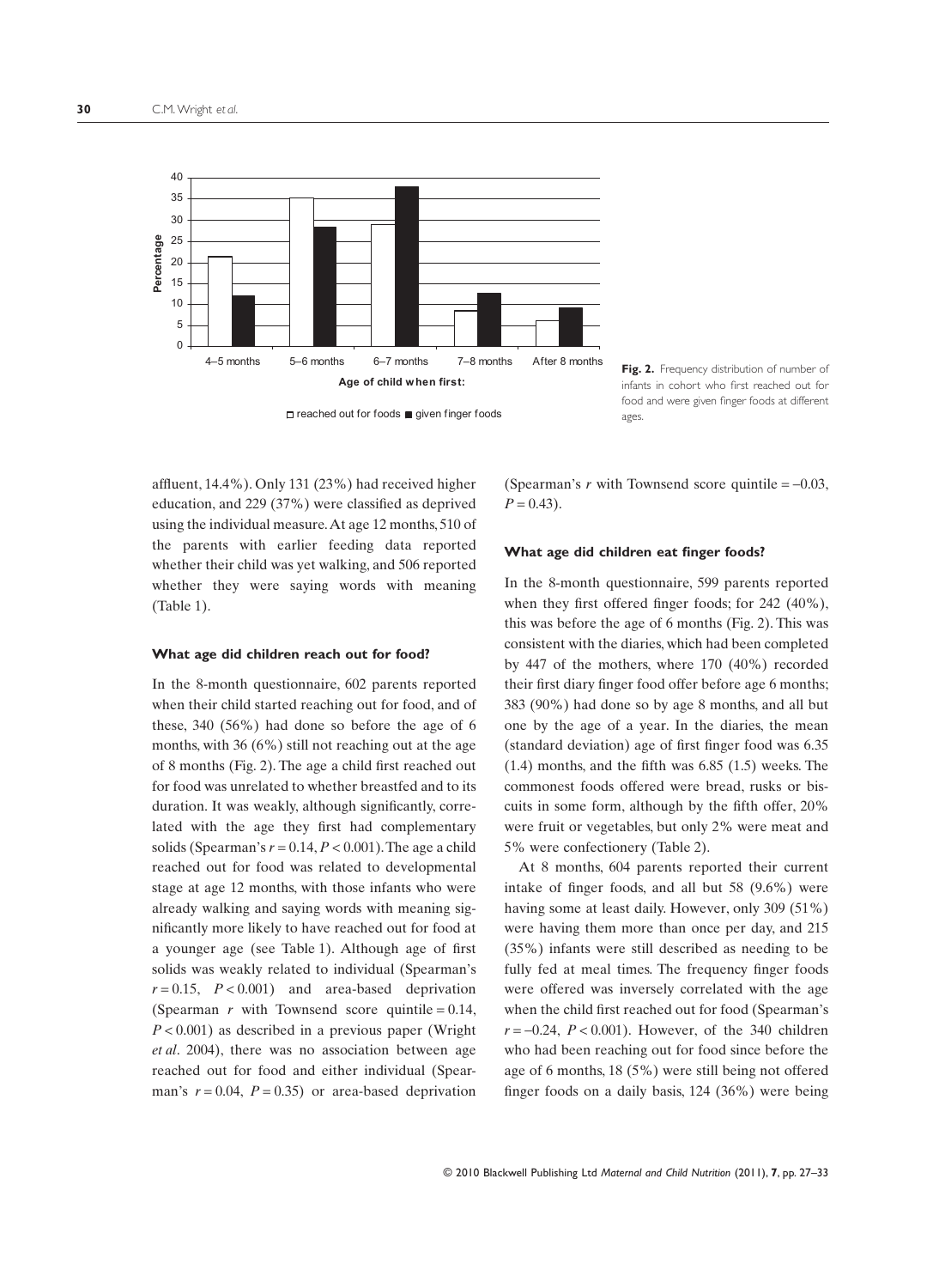

□ reached out for foods ■ given finger foods

**Fig. 2.** Frequency distribution of number of infants in cohort who first reached out for food and were given finger foods at different ages.

affluent, 14.4%). Only 131 (23%) had received higher education, and 229 (37%) were classified as deprived using the individual measure.At age 12 months, 510 of the parents with earlier feeding data reported whether their child was yet walking, and 506 reported whether they were saying words with meaning (Table 1).

#### **What age did children reach out for food?**

In the 8-month questionnaire, 602 parents reported when their child started reaching out for food, and of these, 340 (56%) had done so before the age of 6 months, with 36 (6%) still not reaching out at the age of 8 months (Fig. 2). The age a child first reached out for food was unrelated to whether breastfed and to its duration. It was weakly, although significantly, correlated with the age they first had complementary solids (Spearman's  $r = 0.14$ ,  $P < 0.001$ ). The age a child reached out for food was related to developmental stage at age 12 months, with those infants who were already walking and saying words with meaning significantly more likely to have reached out for food at a younger age (see Table 1). Although age of first solids was weakly related to individual (Spearman's  $r = 0.15$ ,  $P < 0.001$ ) and area-based deprivation (Spearman *r* with Townsend score quintile =  $0.14$ , *P* < 0.001) as described in a previous paper (Wright *et al*. 2004), there was no association between age reached out for food and either individual (Spearman's  $r = 0.04$ ,  $P = 0.35$ ) or area-based deprivation

(Spearman's  $r$  with Townsend score quintile  $= -0.03$ ,  $P = 0.43$ .

#### **What age did children eat finger foods?**

In the 8-month questionnaire, 599 parents reported when they first offered finger foods; for 242 (40%), this was before the age of 6 months (Fig. 2). This was consistent with the diaries, which had been completed by 447 of the mothers, where 170 (40%) recorded their first diary finger food offer before age 6 months; 383 (90%) had done so by age 8 months, and all but one by the age of a year. In the diaries, the mean (standard deviation) age of first finger food was 6.35 (1.4) months, and the fifth was 6.85 (1.5) weeks. The commonest foods offered were bread, rusks or biscuits in some form, although by the fifth offer, 20% were fruit or vegetables, but only 2% were meat and 5% were confectionery (Table 2).

At 8 months, 604 parents reported their current intake of finger foods, and all but 58 (9.6%) were having some at least daily. However, only 309 (51%) were having them more than once per day, and 215 (35%) infants were still described as needing to be fully fed at meal times. The frequency finger foods were offered was inversely correlated with the age when the child first reached out for food (Spearman's  $r = -0.24$ ,  $P < 0.001$ ). However, of the 340 children who had been reaching out for food since before the age of 6 months, 18 (5%) were still being not offered finger foods on a daily basis, 124 (36%) were being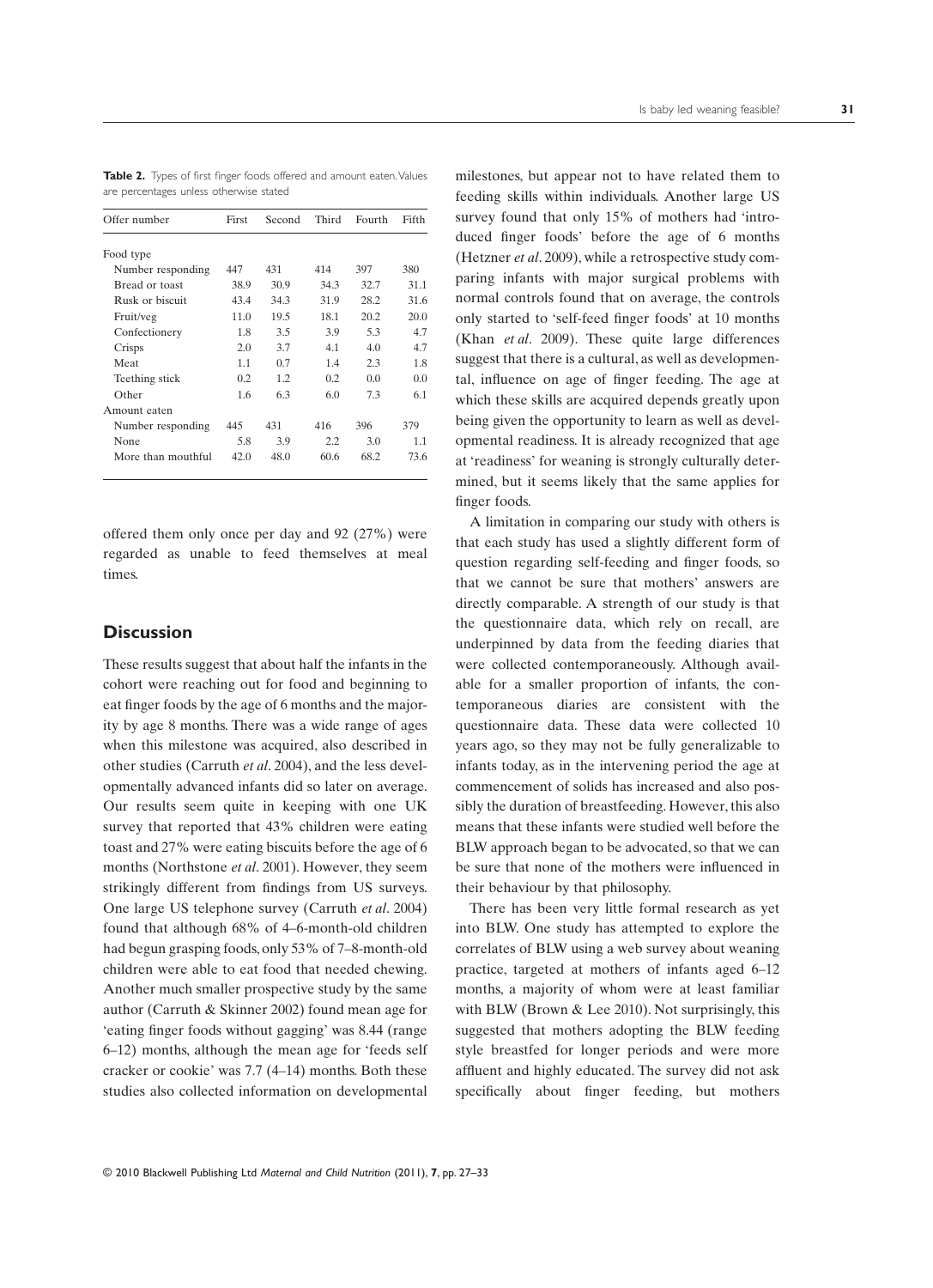| Offer number       | First | Second | Third | Fourth | Fifth |
|--------------------|-------|--------|-------|--------|-------|
| Food type          |       |        |       |        |       |
| Number responding  | 447   | 431    | 414   | 397    | 380   |
| Bread or toast     | 38.9  | 30.9   | 34.3  | 32.7   | 31.1  |
| Rusk or biscuit    | 434   | 34.3   | 31.9  | 28.2   | 31.6  |
| Fruit/veg          | 11.0  | 19.5   | 181   | 20.2   | 20.0  |
| Confectionery      | 1.8   | 3.5    | 3.9   | 5.3    | 4.7   |
| Crisps             | 2.0   | 3.7    | 4.1   | 40     | 4.7   |
| Meat               | 1.1   | 0.7    | 1.4   | 2.3    | 1.8   |
| Teething stick     | 0.2   | 1.2    | 0.2   | 0.0    | 0.0   |
| Other              | 1.6   | 6.3    | 6.0   | 7.3    | 61    |
| Amount eaten       |       |        |       |        |       |
| Number responding  | 445   | 431    | 416   | 396    | 379   |
| None               | 5.8   | 3.9    | 22    | 3.0    | 11    |
| More than mouthful | 42.0  | 48.0   | 60.6  | 68.2   | 73.6  |

Table 2. Types of first finger foods offered and amount eaten. Values are percentages unless otherwise stated

offered them only once per day and 92 (27%) were regarded as unable to feed themselves at meal times.

## **Discussion**

These results suggest that about half the infants in the cohort were reaching out for food and beginning to eat finger foods by the age of 6 months and the majority by age 8 months. There was a wide range of ages when this milestone was acquired, also described in other studies (Carruth *et al*. 2004), and the less developmentally advanced infants did so later on average. Our results seem quite in keeping with one UK survey that reported that 43% children were eating toast and 27% were eating biscuits before the age of 6 months (Northstone *et al*. 2001). However, they seem strikingly different from findings from US surveys. One large US telephone survey (Carruth *et al*. 2004) found that although 68% of 4–6-month-old children had begun grasping foods, only 53% of 7–8-month-old children were able to eat food that needed chewing. Another much smaller prospective study by the same author (Carruth & Skinner 2002) found mean age for 'eating finger foods without gagging' was 8.44 (range 6–12) months, although the mean age for 'feeds self cracker or cookie' was 7.7 (4–14) months. Both these studies also collected information on developmental

milestones, but appear not to have related them to feeding skills within individuals. Another large US survey found that only 15% of mothers had 'introduced finger foods' before the age of 6 months (Hetzner *et al*. 2009), while a retrospective study comparing infants with major surgical problems with normal controls found that on average, the controls only started to 'self-feed finger foods' at 10 months (Khan *et al*. 2009). These quite large differences suggest that there is a cultural, as well as developmental, influence on age of finger feeding. The age at which these skills are acquired depends greatly upon being given the opportunity to learn as well as developmental readiness. It is already recognized that age at 'readiness' for weaning is strongly culturally determined, but it seems likely that the same applies for finger foods.

A limitation in comparing our study with others is that each study has used a slightly different form of question regarding self-feeding and finger foods, so that we cannot be sure that mothers' answers are directly comparable. A strength of our study is that the questionnaire data, which rely on recall, are underpinned by data from the feeding diaries that were collected contemporaneously. Although available for a smaller proportion of infants, the contemporaneous diaries are consistent with the questionnaire data. These data were collected 10 years ago, so they may not be fully generalizable to infants today, as in the intervening period the age at commencement of solids has increased and also possibly the duration of breastfeeding. However, this also means that these infants were studied well before the BLW approach began to be advocated, so that we can be sure that none of the mothers were influenced in their behaviour by that philosophy.

There has been very little formal research as yet into BLW. One study has attempted to explore the correlates of BLW using a web survey about weaning practice, targeted at mothers of infants aged 6–12 months, a majority of whom were at least familiar with BLW (Brown & Lee 2010). Not surprisingly, this suggested that mothers adopting the BLW feeding style breastfed for longer periods and were more affluent and highly educated. The survey did not ask specifically about finger feeding, but mothers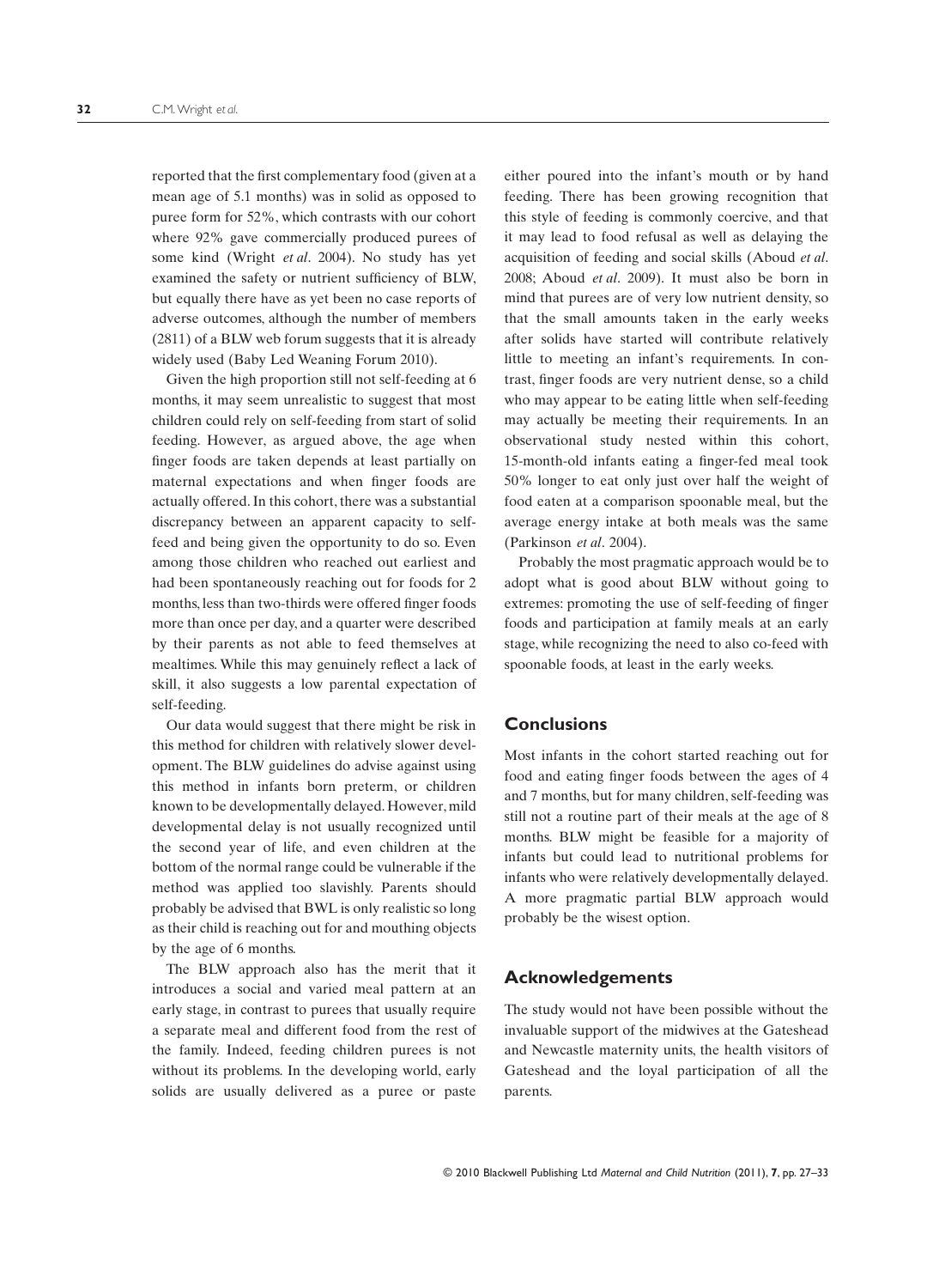reported that the first complementary food (given at a mean age of 5.1 months) was in solid as opposed to puree form for 52%, which contrasts with our cohort where 92% gave commercially produced purees of some kind (Wright *et al*. 2004). No study has yet examined the safety or nutrient sufficiency of BLW, but equally there have as yet been no case reports of adverse outcomes, although the number of members (2811) of a BLW web forum suggests that it is already widely used (Baby Led Weaning Forum 2010).

Given the high proportion still not self-feeding at 6 months, it may seem unrealistic to suggest that most children could rely on self-feeding from start of solid feeding. However, as argued above, the age when finger foods are taken depends at least partially on maternal expectations and when finger foods are actually offered. In this cohort, there was a substantial discrepancy between an apparent capacity to selffeed and being given the opportunity to do so. Even among those children who reached out earliest and had been spontaneously reaching out for foods for 2 months, less than two-thirds were offered finger foods more than once per day, and a quarter were described by their parents as not able to feed themselves at mealtimes. While this may genuinely reflect a lack of skill, it also suggests a low parental expectation of self-feeding.

Our data would suggest that there might be risk in this method for children with relatively slower development. The BLW guidelines do advise against using this method in infants born preterm, or children known to be developmentally delayed. However, mild developmental delay is not usually recognized until the second year of life, and even children at the bottom of the normal range could be vulnerable if the method was applied too slavishly. Parents should probably be advised that BWL is only realistic so long as their child is reaching out for and mouthing objects by the age of 6 months.

The BLW approach also has the merit that it introduces a social and varied meal pattern at an early stage, in contrast to purees that usually require a separate meal and different food from the rest of the family. Indeed, feeding children purees is not without its problems. In the developing world, early solids are usually delivered as a puree or paste

either poured into the infant's mouth or by hand feeding. There has been growing recognition that this style of feeding is commonly coercive, and that it may lead to food refusal as well as delaying the acquisition of feeding and social skills (Aboud *et al*. 2008; Aboud *et al*. 2009). It must also be born in mind that purees are of very low nutrient density, so that the small amounts taken in the early weeks after solids have started will contribute relatively little to meeting an infant's requirements. In contrast, finger foods are very nutrient dense, so a child who may appear to be eating little when self-feeding may actually be meeting their requirements. In an observational study nested within this cohort, 15-month-old infants eating a finger-fed meal took 50% longer to eat only just over half the weight of food eaten at a comparison spoonable meal, but the average energy intake at both meals was the same (Parkinson *et al*. 2004).

Probably the most pragmatic approach would be to adopt what is good about BLW without going to extremes: promoting the use of self-feeding of finger foods and participation at family meals at an early stage, while recognizing the need to also co-feed with spoonable foods, at least in the early weeks.

## **Conclusions**

Most infants in the cohort started reaching out for food and eating finger foods between the ages of 4 and 7 months, but for many children, self-feeding was still not a routine part of their meals at the age of 8 months. BLW might be feasible for a majority of infants but could lead to nutritional problems for infants who were relatively developmentally delayed. A more pragmatic partial BLW approach would probably be the wisest option.

## **Acknowledgements**

The study would not have been possible without the invaluable support of the midwives at the Gateshead and Newcastle maternity units, the health visitors of Gateshead and the loyal participation of all the parents.